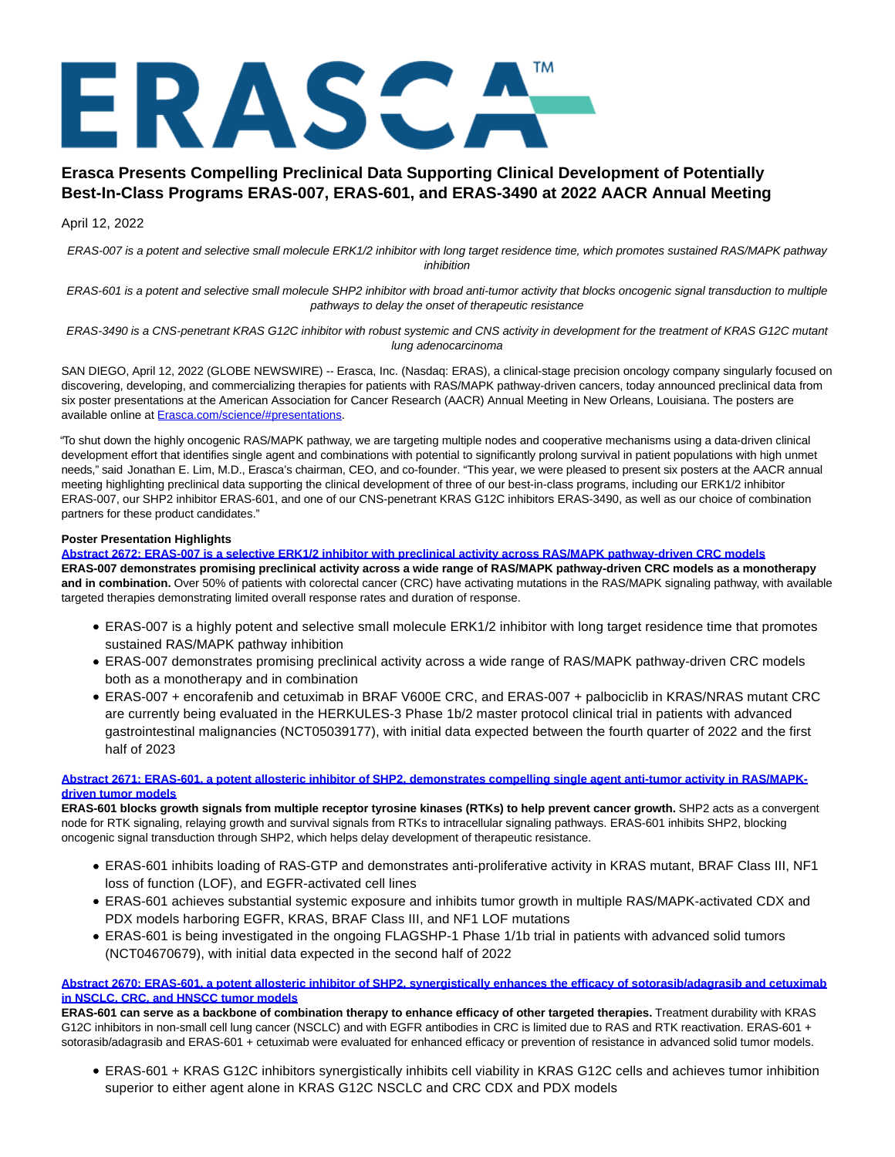# ERASCA"

# **Erasca Presents Compelling Preclinical Data Supporting Clinical Development of Potentially Best-In-Class Programs ERAS-007, ERAS-601, and ERAS-3490 at 2022 AACR Annual Meeting**

# April 12, 2022

ERAS-007 is a potent and selective small molecule ERK1/2 inhibitor with long target residence time, which promotes sustained RAS/MAPK pathway inhibition

ERAS-601 is a potent and selective small molecule SHP2 inhibitor with broad anti-tumor activity that blocks oncogenic signal transduction to multiple pathways to delay the onset of therapeutic resistance

ERAS-3490 is a CNS-penetrant KRAS G12C inhibitor with robust systemic and CNS activity in development for the treatment of KRAS G12C mutant lung adenocarcinoma

SAN DIEGO, April 12, 2022 (GLOBE NEWSWIRE) -- Erasca, Inc. (Nasdaq: ERAS), a clinical-stage precision oncology company singularly focused on discovering, developing, and commercializing therapies for patients with RAS/MAPK pathway-driven cancers, today announced preclinical data from six poster presentations at the American Association for Cancer Research (AACR) Annual Meeting in New Orleans, Louisiana. The posters are available online at [Erasca.com/science/#presentations.](https://www.globenewswire.com/Tracker?data=NeR1PIKhoSt8-3I1SqLtQxCancJd62iMPse9a7wrwLatPcJkklMwgZAyXU99vbnbIA0WSSfA05KNSuUJhfC43bniGZah9l4IIedRVvqoHPvCvsrhgpnJ3C2DU2EK6LP0yRdPFN9V3OHS_jgKx_CwBQ==)

"To shut down the highly oncogenic RAS/MAPK pathway, we are targeting multiple nodes and cooperative mechanisms using a data-driven clinical development effort that identifies single agent and combinations with potential to significantly prolong survival in patient populations with high unmet needs," said Jonathan E. Lim, M.D., Erasca's chairman, CEO, and co-founder. "This year, we were pleased to present six posters at the AACR annual meeting highlighting preclinical data supporting the clinical development of three of our best-in-class programs, including our ERK1/2 inhibitor ERAS-007, our SHP2 inhibitor ERAS-601, and one of our CNS-penetrant KRAS G12C inhibitors ERAS-3490, as well as our choice of combination partners for these product candidates."

### **Poster Presentation Highlights**

**[Abstract 2672: ERAS-007 is a selective ERK1/2 inhibitor with preclinical activity across RAS/MAPK pathway-driven CRC models](https://www.globenewswire.com/Tracker?data=pjOQYEzVWR-qhSWPdsB2-qWYL6EioiS4QXA44aS4ZyFKp3hYdmnz1jSVEnelEmkntTWsbmgW98uJNvO5jpH45m8kavoyKPdMKy9wqMLMSr-kXMhvyrjZomgGYwXXwox94BRMcZLMu4WrL9Wwx08M5VV-YfxODobOao8je3AJ70BQPn5eMOfeR6UD7U57L19KBt6Q0oN1EYwDJIF76sywxl3FkmWwGSfRgLiUSVF6zrDJ1Tgas5wW0gso6HsivtbxYhFBgCetxzM6qYn9ePHNKQ==) ERAS-007 demonstrates promising preclinical activity across a wide range of RAS/MAPK pathway-driven CRC models as a monotherapy and in combination.** Over 50% of patients with colorectal cancer (CRC) have activating mutations in the RAS/MAPK signaling pathway, with available targeted therapies demonstrating limited overall response rates and duration of response.

- ERAS-007 is a highly potent and selective small molecule ERK1/2 inhibitor with long target residence time that promotes sustained RAS/MAPK pathway inhibition
- ERAS-007 demonstrates promising preclinical activity across a wide range of RAS/MAPK pathway-driven CRC models both as a monotherapy and in combination
- ERAS-007 + encorafenib and cetuximab in BRAF V600E CRC, and ERAS-007 + palbociclib in KRAS/NRAS mutant CRC are currently being evaluated in the HERKULES-3 Phase 1b/2 master protocol clinical trial in patients with advanced gastrointestinal malignancies (NCT05039177), with initial data expected between the fourth quarter of 2022 and the first half of 2023

### **[Abstract 2671: ERAS-601, a potent allosteric inhibitor of SHP2, demonstrates compelling single agent anti-tumor activity in RAS/MAPK](https://www.globenewswire.com/Tracker?data=pjOQYEzVWR-qhSWPdsB2-ilRzy74Ma4O3yWDy3Dul53THdM4PNY6MhtM3e2YaFCJtqu9DgBoeXixPAhoS2kz10cx80h_g_XMhfjTwzITWXxIq7l568kBKOcq7ayoz3pDQvKqxDoCriiHnmH8Rb6kMpJMl4HSrCtvNOO5uEl9m8KdOe8yZ8KyHUfuBUonUKUUlqAtxBpQCcHzpAiApuiYwr3dy5MYO3zBvyLFjy2FUeNoaKwAzUKJMNiLcYQiXS-MW8Xe1E2-d1Qkczo_miofqfI6_gQCs72xkeZKL-p-fKMtlnNkWImHlkZBLhmcN1Af)driven tumor models**

ERAS-601 blocks growth signals from multiple receptor tyrosine kinases (RTKs) to help prevent cancer growth. SHP2 acts as a convergent node for RTK signaling, relaying growth and survival signals from RTKs to intracellular signaling pathways. ERAS-601 inhibits SHP2, blocking oncogenic signal transduction through SHP2, which helps delay development of therapeutic resistance.

- ERAS-601 inhibits loading of RAS-GTP and demonstrates anti-proliferative activity in KRAS mutant, BRAF Class III, NF1 loss of function (LOF), and EGFR-activated cell lines
- ERAS-601 achieves substantial systemic exposure and inhibits tumor growth in multiple RAS/MAPK-activated CDX and PDX models harboring EGFR, KRAS, BRAF Class III, and NF1 LOF mutations
- ERAS-601 is being investigated in the ongoing FLAGSHP-1 Phase 1/1b trial in patients with advanced solid tumors (NCT04670679), with initial data expected in the second half of 2022

# **[Abstract 2670: ERAS-601, a potent allosteric inhibitor of SHP2, synergistically enhances the efficacy of sotorasib/adagrasib and cetuximab](https://www.globenewswire.com/Tracker?data=pjOQYEzVWR-qhSWPdsB2-tkf9dX8PD4xkdnWH3R_z0QkgibJGZ1NKDQBedywGFx10JjYmRFrksnDt-kos-gcspxVHGImKCNyUzlCaAr4WTPjHlz8BCmMQawd6esjvZb3ECilapsa30A9rBO-ymtSp9SjgqiXkf6xa2_ULc1W4kkjzMXZ1mcOJpal8QHWybSkdVsPZ-_v1UwMZ_UhZmlBjZbkI1HOY5K7NkuBwG5VVK0fgUzZ4QO1nRogo6Ki1KiIVRji98k9ImHp5oGEsyg4TnpvyG9ui4DsQM1DS1qnyKmYgczhi0535cBsEjehvqrh2hA3HjycHIA-fq-1b8UZsgtyrjLnsO5StS4kMg7H5cQ=) in NSCLC, CRC, and HNSCC tumor models**

**ERAS-601 can serve as a backbone of combination therapy to enhance efficacy of other targeted therapies.** Treatment durability with KRAS G12C inhibitors in non-small cell lung cancer (NSCLC) and with EGFR antibodies in CRC is limited due to RAS and RTK reactivation. ERAS-601 + sotorasib/adagrasib and ERAS-601 + cetuximab were evaluated for enhanced efficacy or prevention of resistance in advanced solid tumor models.

ERAS-601 + KRAS G12C inhibitors synergistically inhibits cell viability in KRAS G12C cells and achieves tumor inhibition superior to either agent alone in KRAS G12C NSCLC and CRC CDX and PDX models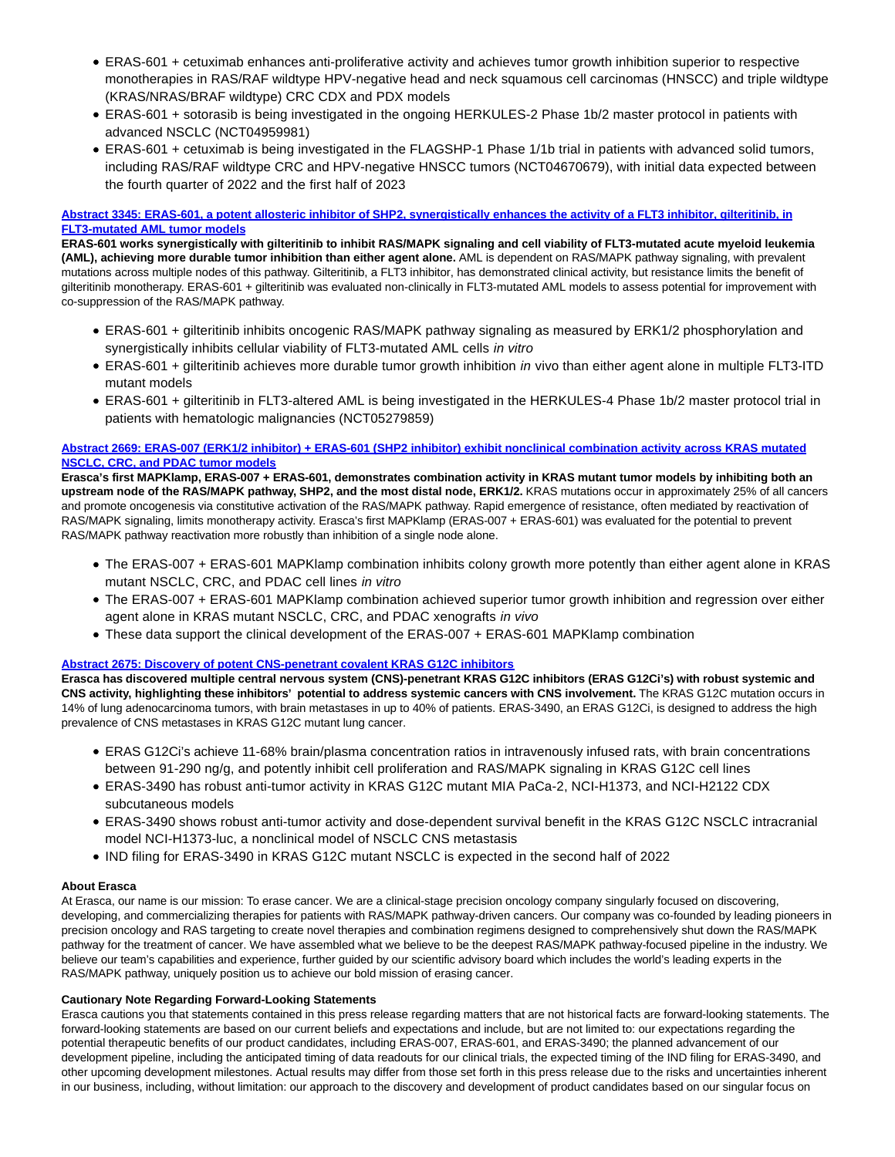- ERAS-601 + cetuximab enhances anti-proliferative activity and achieves tumor growth inhibition superior to respective monotherapies in RAS/RAF wildtype HPV-negative head and neck squamous cell carcinomas (HNSCC) and triple wildtype (KRAS/NRAS/BRAF wildtype) CRC CDX and PDX models
- ERAS-601 + sotorasib is being investigated in the ongoing HERKULES-2 Phase 1b/2 master protocol in patients with advanced NSCLC (NCT04959981)
- ERAS-601 + cetuximab is being investigated in the FLAGSHP-1 Phase 1/1b trial in patients with advanced solid tumors, including RAS/RAF wildtype CRC and HPV-negative HNSCC tumors (NCT04670679), with initial data expected between the fourth quarter of 2022 and the first half of 2023

# **[Abstract 3345: ERAS-601, a potent allosteric inhibitor of SHP2, synergistically enhances the activity of a FLT3 inhibitor, gilteritinib, in](https://www.globenewswire.com/Tracker?data=pjOQYEzVWR-qhSWPdsB2-l_JDbI_uDhcUrrv9cilQsqIzhTgBwCaiROxOLGMuT073gxXVNWvsyvq9zkNUUbZihjSEPSwKnvrVtqf2VwJiPr8otSnySaubuzG1_LZrTdX6U8FZ-zxs8OGGKBuzqYBk4eARKaVWmoFaQUkCTm5Y8K5VFq6R_ninXbdInVIBqsPYpT0SpxyL7f2MrGmiw5z2UeGH0O4wU4GvyFIa0j5cumm9lbUbNOpl5dUWs2NhV4xDBnPD5LRuPW18toVXkog9Rik6wPNvvS2dzP_P1AV43r5DY8TBICQnStbsQFOpAi86OuWGuCNOeIji-Cl9RuMQw==) FLT3-mutated AML tumor models**

**ERAS-601 works synergistically with gilteritinib to inhibit RAS/MAPK signaling and cell viability of FLT3-mutated acute myeloid leukemia (AML), achieving more durable tumor inhibition than either agent alone.** AML is dependent on RAS/MAPK pathway signaling, with prevalent mutations across multiple nodes of this pathway. Gilteritinib, a FLT3 inhibitor, has demonstrated clinical activity, but resistance limits the benefit of gilteritinib monotherapy. ERAS-601 + gilteritinib was evaluated non-clinically in FLT3-mutated AML models to assess potential for improvement with co-suppression of the RAS/MAPK pathway.

- ERAS-601 + gilteritinib inhibits oncogenic RAS/MAPK pathway signaling as measured by ERK1/2 phosphorylation and synergistically inhibits cellular viability of FLT3-mutated AML cells in vitro
- ERAS-601 + gilteritinib achieves more durable tumor growth inhibition in vivo than either agent alone in multiple FLT3-ITD mutant models
- ERAS-601 + gilteritinib in FLT3-altered AML is being investigated in the HERKULES-4 Phase 1b/2 master protocol trial in patients with hematologic malignancies (NCT05279859)

#### **[Abstract 2669: ERAS-007 \(ERK1/2 inhibitor\) + ERAS-601 \(SHP2 inhibitor\) exhibit nonclinical combination activity across KRAS mutated](https://www.globenewswire.com/Tracker?data=pjOQYEzVWR-qhSWPdsB2-m3uqs5hqB09eUDTHD3r4mfIrAvRHlMQDNmmDUs5zSbalFretVEtdjmXN53pkbmwc7pRLSv7YEm-p3-c-NghREwIPWIKdSGbd6v_6VhkMLFyPfaaYm1zu6erJrXKaGBdNhaaG7jet3u4hPOppeNPeu2vkvFkYtIt6Fd0blQrnVQlJ4Vm-HtkKB4k-NaEa1tO3kcJGTdAXEPFyE72mZDjMjBu3x_RCaL57l5JIhCZnGYE2R6DgxNeqKdjxm0C8CBaKuFl8jM25SFMJ6QXumGxU5sJj9E6xsfApW4r_NfF9JBmkFy60h-ZzvC0jL6w37vd5Q==) NSCLC, CRC, and PDAC tumor models**

**Erasca's first MAPKlamp, ERAS-007 + ERAS-601, demonstrates combination activity in KRAS mutant tumor models by inhibiting both an upstream node of the RAS/MAPK pathway, SHP2, and the most distal node, ERK1/2.** KRAS mutations occur in approximately 25% of all cancers and promote oncogenesis via constitutive activation of the RAS/MAPK pathway. Rapid emergence of resistance, often mediated by reactivation of RAS/MAPK signaling, limits monotherapy activity. Erasca's first MAPKlamp (ERAS-007 + ERAS-601) was evaluated for the potential to prevent RAS/MAPK pathway reactivation more robustly than inhibition of a single node alone.

- The ERAS-007 + ERAS-601 MAPKlamp combination inhibits colony growth more potently than either agent alone in KRAS mutant NSCLC, CRC, and PDAC cell lines in vitro
- The ERAS-007 + ERAS-601 MAPKlamp combination achieved superior tumor growth inhibition and regression over either agent alone in KRAS mutant NSCLC, CRC, and PDAC xenografts in vivo
- These data support the clinical development of the ERAS-007 + ERAS-601 MAPKlamp combination

#### **[Abstract 2675: Discovery of potent CNS-penetrant covalent KRAS G12C inhibitors](https://www.globenewswire.com/Tracker?data=pjOQYEzVWR-qhSWPdsB2-iHTFGpR35obLoajk1YaHKuVJ8xMS0-B2WfHXgSheeCrCExXB6ErIOGHYBF0a9OLsIBqBdvXLyEzT76r-XcwHmesHgpgEZWoUXnpJ-j7UPlFhJ1zEs6poXEOfbFwEMUfXOP4o9f_4mt2cQf9CqEyQgfCuec2tN8Np-8AE-vcGOGN2nTaFtvhvCjLdRqWW9XezHNSUVmlewAlz3PS_xzv4pw=)**

**Erasca has discovered multiple central nervous system (CNS)-penetrant KRAS G12C inhibitors (ERAS G12Ci's) with robust systemic and CNS activity, highlighting these inhibitors' potential to address systemic cancers with CNS involvement.** The KRAS G12C mutation occurs in 14% of lung adenocarcinoma tumors, with brain metastases in up to 40% of patients. ERAS-3490, an ERAS G12Ci, is designed to address the high prevalence of CNS metastases in KRAS G12C mutant lung cancer.

- ERAS G12Ci's achieve 11-68% brain/plasma concentration ratios in intravenously infused rats, with brain concentrations between 91-290 ng/g, and potently inhibit cell proliferation and RAS/MAPK signaling in KRAS G12C cell lines
- ERAS-3490 has robust anti-tumor activity in KRAS G12C mutant MIA PaCa-2, NCI-H1373, and NCI-H2122 CDX subcutaneous models
- ERAS-3490 shows robust anti-tumor activity and dose-dependent survival benefit in the KRAS G12C NSCLC intracranial model NCI-H1373-luc, a nonclinical model of NSCLC CNS metastasis
- IND filing for ERAS-3490 in KRAS G12C mutant NSCLC is expected in the second half of 2022

#### **About Erasca**

At Erasca, our name is our mission: To erase cancer. We are a clinical-stage precision oncology company singularly focused on discovering, developing, and commercializing therapies for patients with RAS/MAPK pathway-driven cancers. Our company was co-founded by leading pioneers in precision oncology and RAS targeting to create novel therapies and combination regimens designed to comprehensively shut down the RAS/MAPK pathway for the treatment of cancer. We have assembled what we believe to be the deepest RAS/MAPK pathway-focused pipeline in the industry. We believe our team's capabilities and experience, further guided by our scientific advisory board which includes the world's leading experts in the RAS/MAPK pathway, uniquely position us to achieve our bold mission of erasing cancer.

#### **Cautionary Note Regarding Forward-Looking Statements**

Erasca cautions you that statements contained in this press release regarding matters that are not historical facts are forward-looking statements. The forward-looking statements are based on our current beliefs and expectations and include, but are not limited to: our expectations regarding the potential therapeutic benefits of our product candidates, including ERAS-007, ERAS-601, and ERAS-3490; the planned advancement of our development pipeline, including the anticipated timing of data readouts for our clinical trials, the expected timing of the IND filing for ERAS-3490, and other upcoming development milestones. Actual results may differ from those set forth in this press release due to the risks and uncertainties inherent in our business, including, without limitation: our approach to the discovery and development of product candidates based on our singular focus on